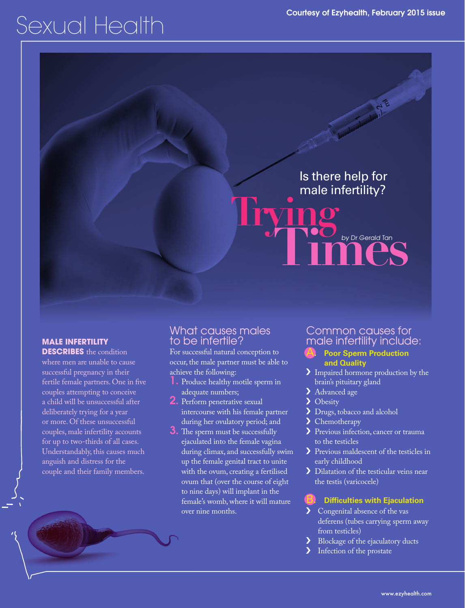# Sexual Health

# Is there help for male infertility? **Trying**

**Times** by Dr Gerald Tan

# **MALE INFERTILITY**

**DESCRIBES** the condition where men are unable to cause successful pregnancy in their fertile female partners. One in five couples attempting to conceive a child will be unsuccessful after deliberately trying for a year or more. Of these unsuccessful couples, male infertility accounts for up to two-thirds of all cases. Understandably, this causes much anguish and distress for the couple and their family members.

# What causes males to be infertile?

For successful natural conception to occur, the male partner must be able to achieve the following:

- 1. Produce healthy motile sperm in adequate numbers;
- 2. Perform penetrative sexual intercourse with his female partner during her ovulatory period; and
- **3.** The sperm must be successfully ejaculated into the female vagina during climax, and successfully swim up the female genital tract to unite with the ovum, creating a fertilised ovum that (over the course of eight to nine days) will implant in the female's womb, where it will mature over nine months.

# Common causes for male infertility include:

by Dr Gerald Tan

#### **Poor Sperm Production and Quality**

- Impaired hormone production by the brain's pituitary gland
- > Advanced age
- $\blacktriangleright$ **Obesity**
- > Drugs, tobacco and alcohol
- $\blacktriangleright$ Chemotherapy
- Previous infection, cancer or trauma to the testicles
- Previous maldescent of the testicles in early childhood
- Dilatation of the testicular veins near the testis (varicocele)

#### **Difficulties with Ejaculation**

- Congenital absence of the vas deferens (tubes carrying sperm away from testicles)
- እ Blockage of the ejaculatory ducts
- Infection of the prostate እ